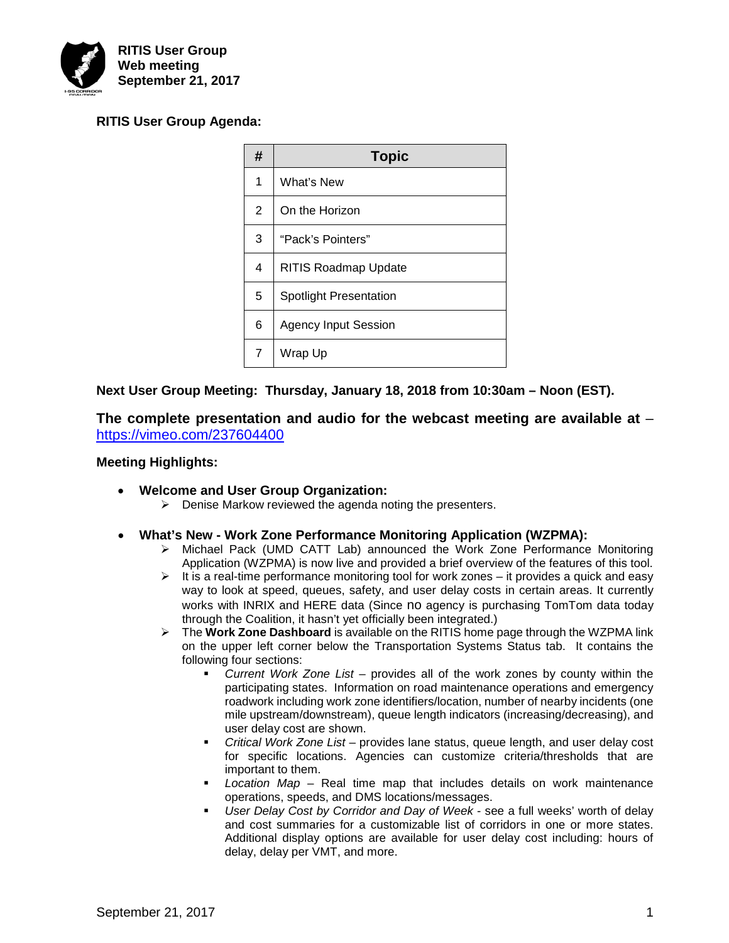

# **RITIS User Group Agenda:**

| #              | <b>Topic</b>                  |  |
|----------------|-------------------------------|--|
| 1              | What's New                    |  |
| $\overline{2}$ | On the Horizon                |  |
| 3              | "Pack's Pointers"             |  |
| 4              | <b>RITIS Roadmap Update</b>   |  |
| 5              | <b>Spotlight Presentation</b> |  |
| 6              | <b>Agency Input Session</b>   |  |
| 7              | Wrap Up                       |  |

# **Next User Group Meeting: Thursday, January 18, 2018 from 10:30am – Noon (EST).**

**The complete presentation and audio for the webcast meeting are available at** – <https://vimeo.com/237604400>

# **Meeting Highlights:**

- **Welcome and User Group Organization:**
	- $\triangleright$  Denise Markow reviewed the agenda noting the presenters.

## • **What's New - Work Zone Performance Monitoring Application (WZPMA):**

- Michael Pack (UMD CATT Lab) announced the Work Zone Performance Monitoring Application (WZPMA) is now live and provided a brief overview of the features of this tool.
- $\triangleright$  It is a real-time performance monitoring tool for work zones it provides a quick and easy way to look at speed, queues, safety, and user delay costs in certain areas. It currently works with INRIX and HERE data (Since no agency is purchasing TomTom data today through the Coalition, it hasn't yet officially been integrated.)
- The **Work Zone Dashboard** is available on the RITIS home page through the WZPMA link on the upper left corner below the Transportation Systems Status tab. It contains the following four sections:
	- *Current Work Zone List* provides all of the work zones by county within the participating states. Information on road maintenance operations and emergency roadwork including work zone identifiers/location, number of nearby incidents (one mile upstream/downstream), queue length indicators (increasing/decreasing), and user delay cost are shown.
	- *Critical Work Zone List* provides lane status, queue length, and user delay cost for specific locations. Agencies can customize criteria/thresholds that are important to them.
	- *Location Map* Real time map that includes details on work maintenance operations, speeds, and DMS locations/messages.
	- *User Delay Cost by Corridor and Day of Week* see a full weeks' worth of delay and cost summaries for a customizable list of corridors in one or more states. Additional display options are available for user delay cost including: hours of delay, delay per VMT, and more.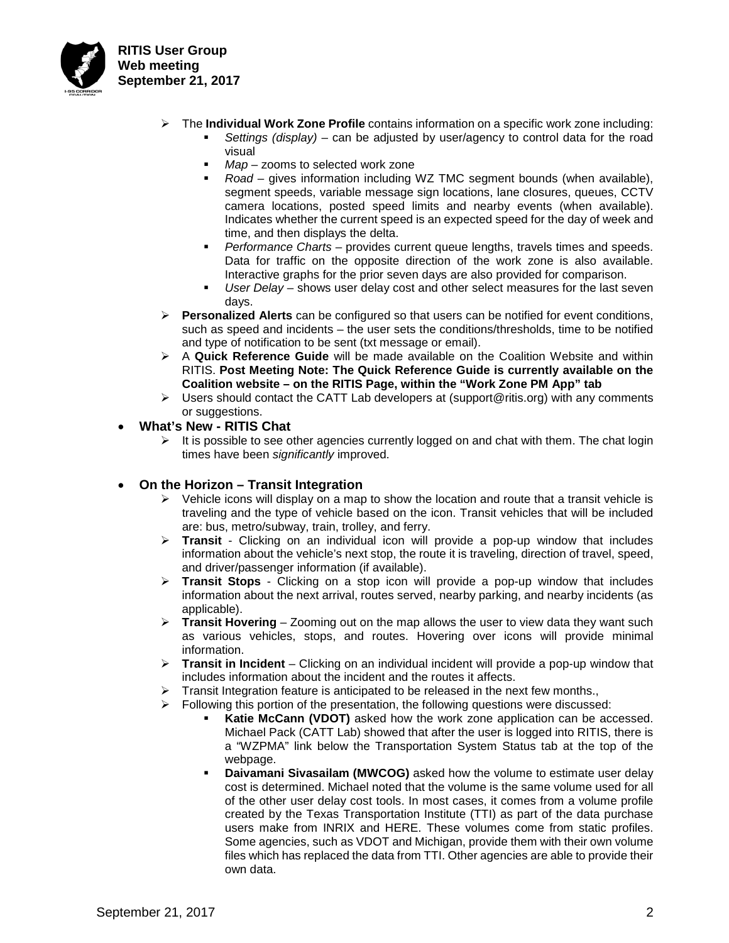

- The **Individual Work Zone Profile** contains information on a specific work zone including:
	- *Settings (display)* can be adjusted by user/agency to control data for the road visual
	- *Map* zooms to selected work zone
	- *Road* gives information including WZ TMC segment bounds (when available), segment speeds, variable message sign locations, lane closures, queues, CCTV camera locations, posted speed limits and nearby events (when available). Indicates whether the current speed is an expected speed for the day of week and time, and then displays the delta.
	- *Performance Charts* provides current queue lengths, travels times and speeds. Data for traffic on the opposite direction of the work zone is also available. Interactive graphs for the prior seven days are also provided for comparison.
	- *User Delay* shows user delay cost and other select measures for the last seven days.
- **Personalized Alerts** can be configured so that users can be notified for event conditions, such as speed and incidents – the user sets the conditions/thresholds, time to be notified and type of notification to be sent (txt message or email).
- A **Quick Reference Guide** will be made available on the Coalition Website and within RITIS. **Post Meeting Note: The Quick Reference Guide is currently available on the Coalition website – on the RITIS Page, within the "Work Zone PM App" tab**
- $\triangleright$  Users should contact the CATT Lab developers at (support@ritis.org) with any comments or suggestions.
- **What's New - RITIS Chat**
	- $\triangleright$  It is possible to see other agencies currently logged on and chat with them. The chat login times have been *significantly* improved.

## • **On the Horizon – Transit Integration**

- $\triangleright$  Vehicle icons will display on a map to show the location and route that a transit vehicle is traveling and the type of vehicle based on the icon. Transit vehicles that will be included are: bus, metro/subway, train, trolley, and ferry.
- **Transit** Clicking on an individual icon will provide a pop-up window that includes information about the vehicle's next stop, the route it is traveling, direction of travel, speed, and driver/passenger information (if available).
- **Transit Stops** Clicking on a stop icon will provide a pop-up window that includes information about the next arrival, routes served, nearby parking, and nearby incidents (as applicable).
- **Transit Hovering**  Zooming out on the map allows the user to view data they want such as various vehicles, stops, and routes. Hovering over icons will provide minimal information.
- **Transit in Incident**  Clicking on an individual incident will provide a pop-up window that includes information about the incident and the routes it affects.
- Transit Integration feature is anticipated to be released in the next few months.,
- $\triangleright$  Following this portion of the presentation, the following questions were discussed:
	- **Katie McCann (VDOT)** asked how the work zone application can be accessed. Michael Pack (CATT Lab) showed that after the user is logged into RITIS, there is a "WZPMA" link below the Transportation System Status tab at the top of the webpage.
	- **Daivamani Sivasailam (MWCOG)** asked how the volume to estimate user delay cost is determined. Michael noted that the volume is the same volume used for all of the other user delay cost tools. In most cases, it comes from a volume profile created by the Texas Transportation Institute (TTI) as part of the data purchase users make from INRIX and HERE. These volumes come from static profiles. Some agencies, such as VDOT and Michigan, provide them with their own volume files which has replaced the data from TTI. Other agencies are able to provide their own data.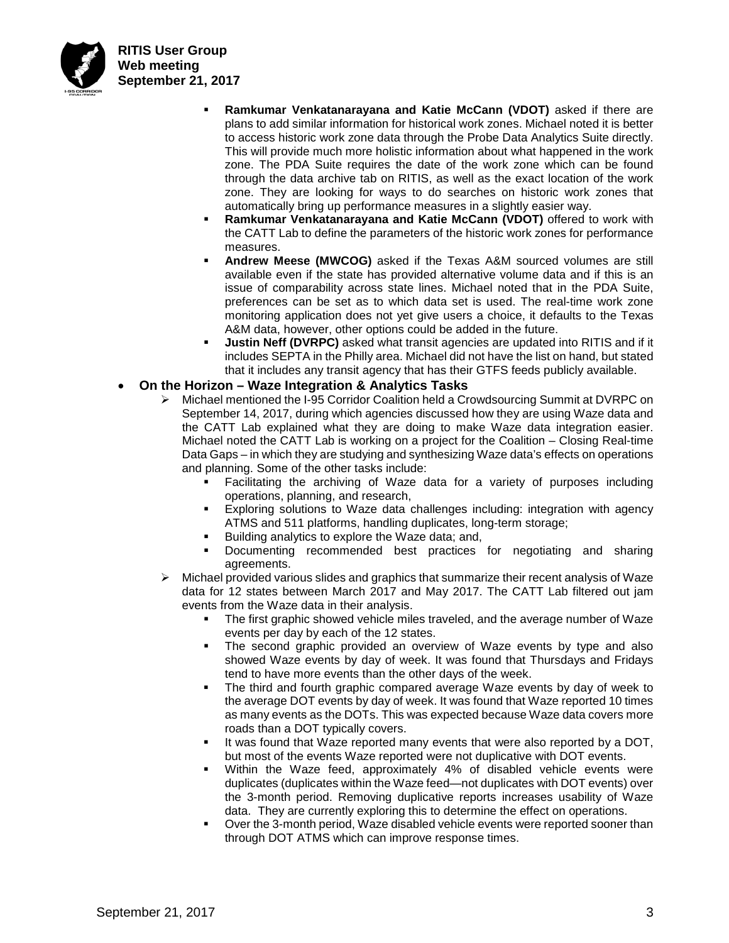

- **Ramkumar Venkatanarayana and Katie McCann (VDOT)** asked if there are plans to add similar information for historical work zones. Michael noted it is better to access historic work zone data through the Probe Data Analytics Suite directly. This will provide much more holistic information about what happened in the work zone. The PDA Suite requires the date of the work zone which can be found through the data archive tab on RITIS, as well as the exact location of the work zone. They are looking for ways to do searches on historic work zones that automatically bring up performance measures in a slightly easier way.
- **Ramkumar Venkatanarayana and Katie McCann (VDOT)** offered to work with the CATT Lab to define the parameters of the historic work zones for performance measures.
- **Andrew Meese (MWCOG)** asked if the Texas A&M sourced volumes are still available even if the state has provided alternative volume data and if this is an issue of comparability across state lines. Michael noted that in the PDA Suite, preferences can be set as to which data set is used. The real-time work zone monitoring application does not yet give users a choice, it defaults to the Texas A&M data, however, other options could be added in the future.
- **Justin Neff (DVRPC)** asked what transit agencies are updated into RITIS and if it includes SEPTA in the Philly area. Michael did not have the list on hand, but stated that it includes any transit agency that has their GTFS feeds publicly available.
- **On the Horizon – Waze Integration & Analytics Tasks** 
	- Michael mentioned the I-95 Corridor Coalition held a Crowdsourcing Summit at DVRPC on September 14, 2017, during which agencies discussed how they are using Waze data and the CATT Lab explained what they are doing to make Waze data integration easier. Michael noted the CATT Lab is working on a project for the Coalition – Closing Real-time Data Gaps – in which they are studying and synthesizing Waze data's effects on operations and planning. Some of the other tasks include:
		- Facilitating the archiving of Waze data for a variety of purposes including operations, planning, and research,
		- Exploring solutions to Waze data challenges including: integration with agency ATMS and 511 platforms, handling duplicates, long-term storage;
		- **Building analytics to explore the Waze data; and,**
		- Documenting recommended best practices for negotiating and sharing agreements.
	- $\triangleright$  Michael provided various slides and graphics that summarize their recent analysis of Waze data for 12 states between March 2017 and May 2017. The CATT Lab filtered out jam events from the Waze data in their analysis.
		- The first graphic showed vehicle miles traveled, and the average number of Waze events per day by each of the 12 states.
		- The second graphic provided an overview of Waze events by type and also showed Waze events by day of week. It was found that Thursdays and Fridays tend to have more events than the other days of the week.
		- The third and fourth graphic compared average Waze events by day of week to the average DOT events by day of week. It was found that Waze reported 10 times as many events as the DOTs. This was expected because Waze data covers more roads than a DOT typically covers.
		- It was found that Waze reported many events that were also reported by a DOT, but most of the events Waze reported were not duplicative with DOT events.
		- Within the Waze feed, approximately 4% of disabled vehicle events were duplicates (duplicates within the Waze feed—not duplicates with DOT events) over the 3-month period. Removing duplicative reports increases usability of Waze data. They are currently exploring this to determine the effect on operations.
		- Over the 3-month period, Waze disabled vehicle events were reported sooner than through DOT ATMS which can improve response times.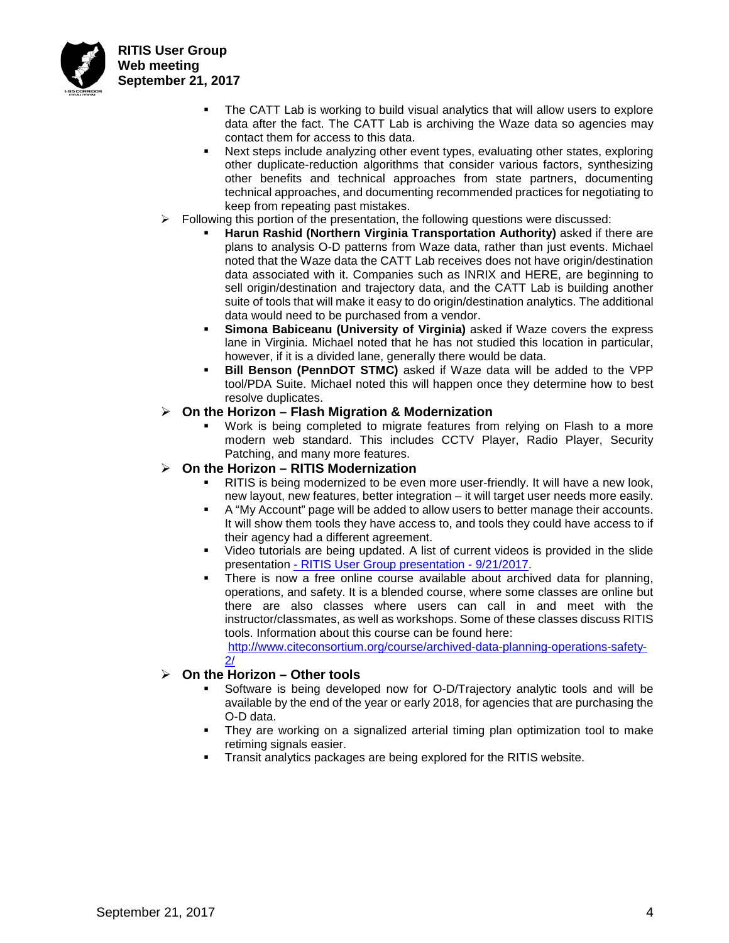

- The CATT Lab is working to build visual analytics that will allow users to explore data after the fact. The CATT Lab is archiving the Waze data so agencies may contact them for access to this data.
- Next steps include analyzing other event types, evaluating other states, exploring other duplicate-reduction algorithms that consider various factors, synthesizing other benefits and technical approaches from state partners, documenting technical approaches, and documenting recommended practices for negotiating to keep from repeating past mistakes.
- $\triangleright$  Following this portion of the presentation, the following questions were discussed:
	- **Harun Rashid (Northern Virginia Transportation Authority)** asked if there are plans to analysis O-D patterns from Waze data, rather than just events. Michael noted that the Waze data the CATT Lab receives does not have origin/destination data associated with it. Companies such as INRIX and HERE, are beginning to sell origin/destination and trajectory data, and the CATT Lab is building another suite of tools that will make it easy to do origin/destination analytics. The additional data would need to be purchased from a vendor.
	- **Simona Babiceanu (University of Virginia)** asked if Waze covers the express lane in Virginia. Michael noted that he has not studied this location in particular, however, if it is a divided lane, generally there would be data.
	- **Bill Benson (PennDOT STMC)** asked if Waze data will be added to the VPP tool/PDA Suite. Michael noted this will happen once they determine how to best resolve duplicates.

# **On the Horizon – Flash Migration & Modernization**

 Work is being completed to migrate features from relying on Flash to a more modern web standard. This includes CCTV Player, Radio Player, Security Patching, and many more features.

#### **On the Horizon – RITIS Modernization**

- RITIS is being modernized to be even more user-friendly. It will have a new look, new layout, new features, better integration – it will target user needs more easily.
- A "My Account" page will be added to allow users to better manage their accounts. It will show them tools they have access to, and tools they could have access to if their agency had a different agreement.
- Video tutorials are being updated. A list of current videos is provided in the slide presentation - [RITIS User Group presentation -](http://i95coalition.org/wp-content/uploads/2015/03/I-95CC-09-21-2017_RITIS_User_Group_presentation.pdf?x70560) 9/21/2017.
- There is now a free online course available about archived data for planning, operations, and safety. It is a blended course, where some classes are online but there are also classes where users can call in and meet with the instructor/classmates, as well as workshops. Some of these classes discuss RITIS tools. Information about this course can be found here:

[http://www.citeconsortium.org/course/archived-data-planning-operations-safety-](http://www.citeconsortium.org/course/archived-data-planning-operations-safety-2/) $2<sub>l</sub>$ 

## **On the Horizon – Other tools**

- Software is being developed now for O-D/Trajectory analytic tools and will be available by the end of the year or early 2018, for agencies that are purchasing the O-D data.
- They are working on a signalized arterial timing plan optimization tool to make retiming signals easier.
- Transit analytics packages are being explored for the RITIS website.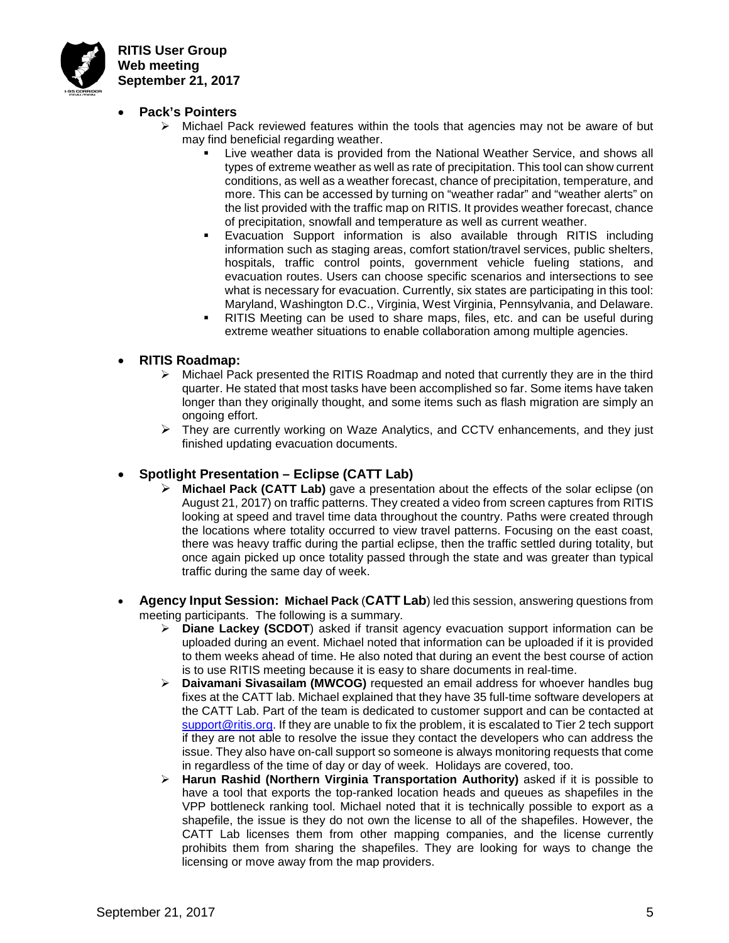

- **Pack's Pointers** 
	- $\triangleright$  Michael Pack reviewed features within the tools that agencies may not be aware of but may find beneficial regarding weather.
		- Live weather data is provided from the National Weather Service, and shows all types of extreme weather as well as rate of precipitation. This tool can show current conditions, as well as a weather forecast, chance of precipitation, temperature, and more. This can be accessed by turning on "weather radar" and "weather alerts" on the list provided with the traffic map on RITIS. It provides weather forecast, chance of precipitation, snowfall and temperature as well as current weather.
		- Evacuation Support information is also available through RITIS including information such as staging areas, comfort station/travel services, public shelters, hospitals, traffic control points, government vehicle fueling stations, and evacuation routes. Users can choose specific scenarios and intersections to see what is necessary for evacuation. Currently, six states are participating in this tool: Maryland, Washington D.C., Virginia, West Virginia, Pennsylvania, and Delaware.
		- RITIS Meeting can be used to share maps, files, etc. and can be useful during extreme weather situations to enable collaboration among multiple agencies.
- **RITIS Roadmap:**
	- Michael Pack presented the RITIS Roadmap and noted that currently they are in the third quarter. He stated that most tasks have been accomplished so far. Some items have taken longer than they originally thought, and some items such as flash migration are simply an ongoing effort.
	- $\triangleright$  They are currently working on Waze Analytics, and CCTV enhancements, and they just finished updating evacuation documents.
- **Spotlight Presentation – Eclipse (CATT Lab)**
	- **Michael Pack (CATT Lab)** gave a presentation about the effects of the solar eclipse (on August 21, 2017) on traffic patterns. They created a video from screen captures from RITIS looking at speed and travel time data throughout the country. Paths were created through the locations where totality occurred to view travel patterns. Focusing on the east coast, there was heavy traffic during the partial eclipse, then the traffic settled during totality, but once again picked up once totality passed through the state and was greater than typical traffic during the same day of week.
- **Agency Input Session: Michael Pack** (**CATT Lab**) led this session, answering questions from meeting participants. The following is a summary.
	- **Diane Lackey (SCDOT**) asked if transit agency evacuation support information can be uploaded during an event. Michael noted that information can be uploaded if it is provided to them weeks ahead of time. He also noted that during an event the best course of action is to use RITIS meeting because it is easy to share documents in real-time.
	- **Daivamani Sivasailam (MWCOG)** requested an email address for whoever handles bug fixes at the CATT lab. Michael explained that they have 35 full-time software developers at the CATT Lab. Part of the team is dedicated to customer support and can be contacted at [support@ritis.org.](mailto:support@ritis.org) If they are unable to fix the problem, it is escalated to Tier 2 tech support if they are not able to resolve the issue they contact the developers who can address the issue. They also have on-call support so someone is always monitoring requests that come in regardless of the time of day or day of week. Holidays are covered, too.
	- **Harun Rashid (Northern Virginia Transportation Authority)** asked if it is possible to have a tool that exports the top-ranked location heads and queues as shapefiles in the VPP bottleneck ranking tool. Michael noted that it is technically possible to export as a shapefile, the issue is they do not own the license to all of the shapefiles. However, the CATT Lab licenses them from other mapping companies, and the license currently prohibits them from sharing the shapefiles. They are looking for ways to change the licensing or move away from the map providers.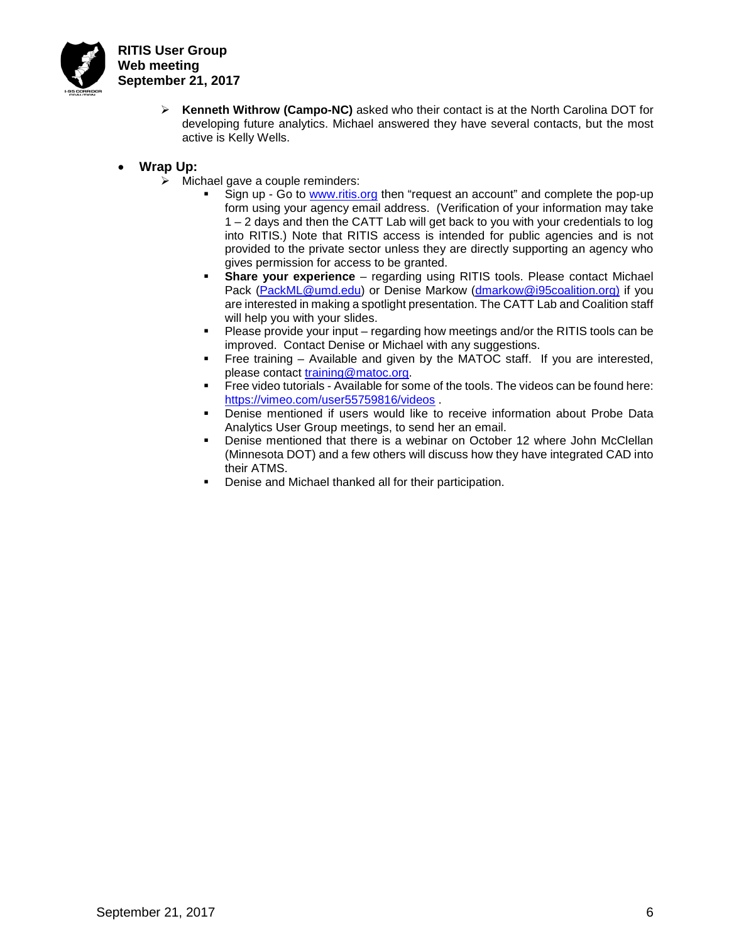

- **Kenneth Withrow (Campo-NC)** asked who their contact is at the North Carolina DOT for developing future analytics. Michael answered they have several contacts, but the most active is Kelly Wells.
- **Wrap Up:**
	- $\triangleright$  Michael gave a couple reminders:
		- Sign up Go to [www.ritis.org](http://www.ritis.org/) then "request an account" and complete the pop-up form using your agency email address. (Verification of your information may take 1 – 2 days and then the CATT Lab will get back to you with your credentials to log into RITIS.) Note that RITIS access is intended for public agencies and is not provided to the private sector unless they are directly supporting an agency who gives permission for access to be granted.
		- **Share your experience** regarding using RITIS tools. Please contact Michael Pack [\(PackML@umd.edu\)](mailto:PackML@umd.edu) or Denise Markow [\(dmarkow@i95coalition.org\)](mailto:dmarkow@i95coalition.org) if you are interested in making a spotlight presentation. The CATT Lab and Coalition staff will help you with your slides.
		- Please provide your input regarding how meetings and/or the RITIS tools can be improved. Contact Denise or Michael with any suggestions.
		- Free training Available and given by the MATOC staff. If you are interested, please contact [training@matoc.org.](mailto:training@matoc.org)
		- Free video tutorials Available for some of the tools. The videos can be found here: <https://vimeo.com/user55759816/videos> .
		- Denise mentioned if users would like to receive information about Probe Data Analytics User Group meetings, to send her an email.
		- Denise mentioned that there is a webinar on October 12 where John McClellan (Minnesota DOT) and a few others will discuss how they have integrated CAD into their ATMS.
		- Denise and Michael thanked all for their participation.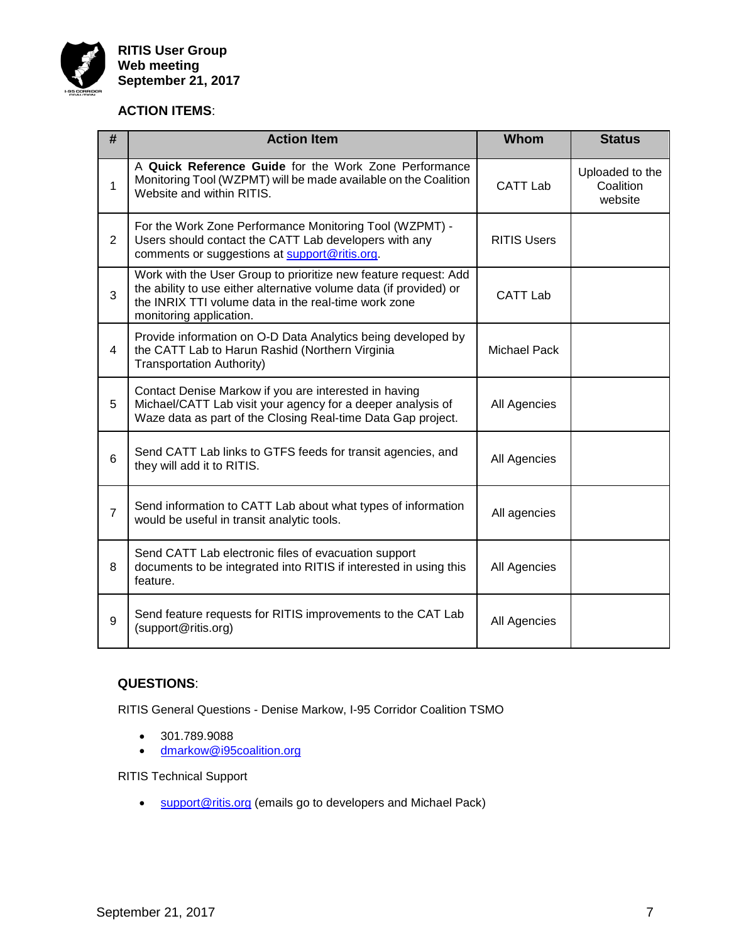

# **ACTION ITEMS**:

| #              | <b>Action Item</b>                                                                                                                                                                                                       | Whom                | <b>Status</b>                           |
|----------------|--------------------------------------------------------------------------------------------------------------------------------------------------------------------------------------------------------------------------|---------------------|-----------------------------------------|
| 1              | A Quick Reference Guide for the Work Zone Performance<br>Monitoring Tool (WZPMT) will be made available on the Coalition<br>Website and within RITIS.                                                                    | <b>CATT Lab</b>     | Uploaded to the<br>Coalition<br>website |
| $\overline{2}$ | For the Work Zone Performance Monitoring Tool (WZPMT) -<br>Users should contact the CATT Lab developers with any<br>comments or suggestions at support@ritis.org.                                                        | <b>RITIS Users</b>  |                                         |
| 3              | Work with the User Group to prioritize new feature request: Add<br>the ability to use either alternative volume data (if provided) or<br>the INRIX TTI volume data in the real-time work zone<br>monitoring application. | <b>CATT Lab</b>     |                                         |
| 4              | Provide information on O-D Data Analytics being developed by<br>the CATT Lab to Harun Rashid (Northern Virginia<br><b>Transportation Authority)</b>                                                                      | <b>Michael Pack</b> |                                         |
| 5              | Contact Denise Markow if you are interested in having<br>Michael/CATT Lab visit your agency for a deeper analysis of<br>Waze data as part of the Closing Real-time Data Gap project.                                     | All Agencies        |                                         |
| 6              | Send CATT Lab links to GTFS feeds for transit agencies, and<br>they will add it to RITIS.                                                                                                                                | All Agencies        |                                         |
| $\overline{7}$ | Send information to CATT Lab about what types of information<br>would be useful in transit analytic tools.                                                                                                               | All agencies        |                                         |
| 8              | Send CATT Lab electronic files of evacuation support<br>documents to be integrated into RITIS if interested in using this<br>feature.                                                                                    | All Agencies        |                                         |
| 9              | Send feature requests for RITIS improvements to the CAT Lab<br>(support@ritis.org)                                                                                                                                       | All Agencies        |                                         |

# **QUESTIONS**:

RITIS General Questions - Denise Markow, I-95 Corridor Coalition TSMO

- 301.789.9088
- [dmarkow@i95coalition.org](mailto:dmarkow@i95coalition.org)

RITIS Technical Support

• [support@ritis.org](mailto:support@ritis.org) (emails go to developers and Michael Pack)